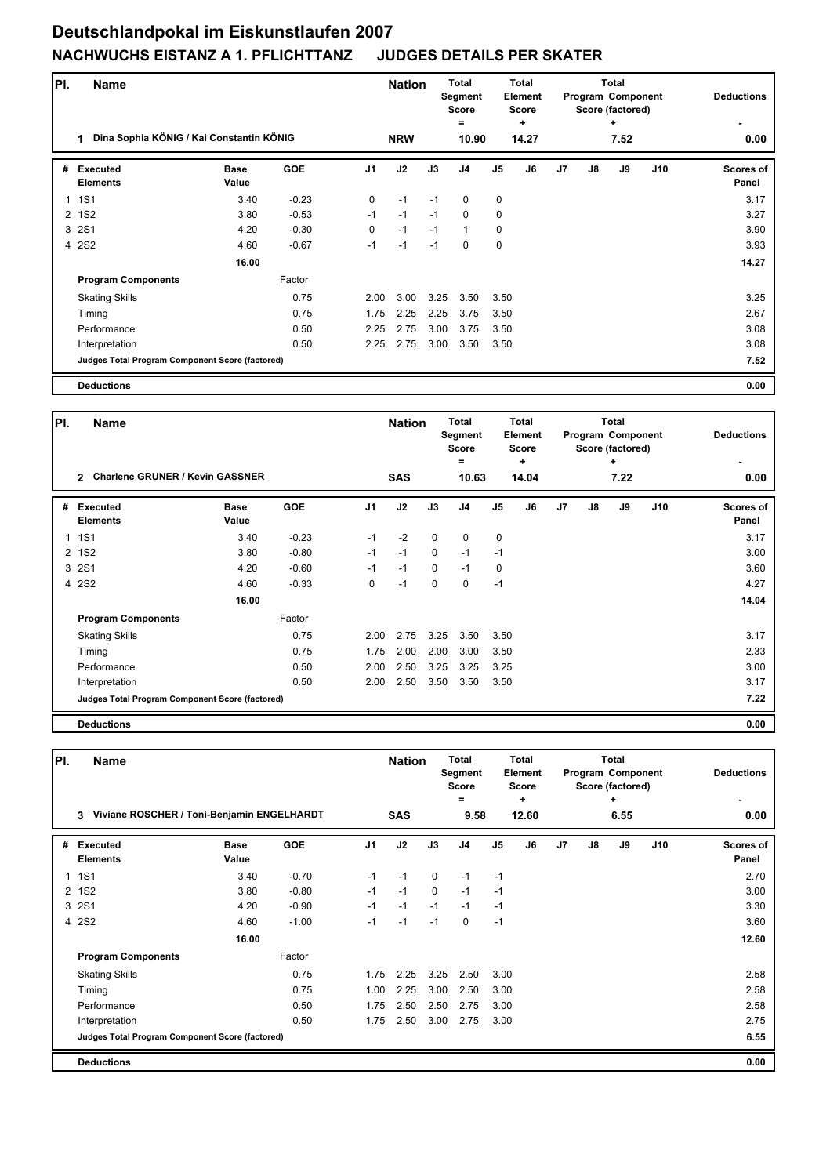## **Deutschlandpokal im Eiskunstlaufen 2007 NACHWUCHS EISTANZ A 1. PFLICHTTANZ JUDGES DETAILS PER SKATER**

| PI. | <b>Name</b>                                     | <b>Nation</b>        |            |                | <b>Total</b><br>Segment<br><b>Score</b><br>= | Total<br>Element<br><b>Score</b><br>٠ |                |             |       | <b>Total</b><br>Program Component<br>Score (factored)<br>٠ | <b>Deductions</b> |      |     |                    |
|-----|-------------------------------------------------|----------------------|------------|----------------|----------------------------------------------|---------------------------------------|----------------|-------------|-------|------------------------------------------------------------|-------------------|------|-----|--------------------|
|     | Dina Sophia KÖNIG / Kai Constantin KÖNIG<br>1   |                      |            |                | <b>NRW</b>                                   |                                       | 10.90          |             | 14.27 |                                                            |                   | 7.52 |     | 0.00               |
| #   | <b>Executed</b><br><b>Elements</b>              | <b>Base</b><br>Value | <b>GOE</b> | J <sub>1</sub> | J2                                           | J3                                    | J <sub>4</sub> | J5          | J6    | J <sub>7</sub>                                             | $\mathsf{J}8$     | J9   | J10 | Scores of<br>Panel |
| 1   | <b>1S1</b>                                      | 3.40                 | $-0.23$    | 0              | $-1$                                         | $-1$                                  | 0              | $\mathbf 0$ |       |                                                            |                   |      |     | 3.17               |
| 2   | <b>1S2</b>                                      | 3.80                 | $-0.53$    | $-1$           | $-1$                                         | $-1$                                  | 0              | 0           |       |                                                            |                   |      |     | 3.27               |
| 3   | <b>2S1</b>                                      | 4.20                 | $-0.30$    | $\Omega$       | $-1$                                         | $-1$                                  | $\mathbf{1}$   | $\mathbf 0$ |       |                                                            |                   |      |     | 3.90               |
|     | 4 2S2                                           | 4.60                 | $-0.67$    | $-1$           | $-1$                                         | $-1$                                  | $\Omega$       | $\mathbf 0$ |       |                                                            |                   |      |     | 3.93               |
|     |                                                 | 16.00                |            |                |                                              |                                       |                |             |       |                                                            |                   |      |     | 14.27              |
|     | <b>Program Components</b>                       |                      | Factor     |                |                                              |                                       |                |             |       |                                                            |                   |      |     |                    |
|     | <b>Skating Skills</b>                           |                      | 0.75       | 2.00           | 3.00                                         | 3.25                                  | 3.50           | 3.50        |       |                                                            |                   |      |     | 3.25               |
|     | Timing                                          |                      | 0.75       | 1.75           | 2.25                                         | 2.25                                  | 3.75           | 3.50        |       |                                                            |                   |      |     | 2.67               |
|     | Performance                                     |                      | 0.50       | 2.25           | 2.75                                         | 3.00                                  | 3.75           | 3.50        |       |                                                            |                   |      |     | 3.08               |
|     | Interpretation                                  |                      | 0.50       | 2.25           | 2.75                                         | 3.00                                  | 3.50           | 3.50        |       |                                                            |                   |      |     | 3.08               |
|     | Judges Total Program Component Score (factored) |                      |            |                |                                              |                                       |                |             |       |                                                            |                   |      |     | 7.52               |
|     | <b>Deductions</b>                               |                      |            |                |                                              |                                       |                |             |       |                                                            |                   |      |     | 0.00               |

| PI.            | <b>Name</b><br><b>Charlene GRUNER / Kevin GASSNER</b><br>$\mathcal{P}$ |                      |            |                | <b>Nation</b><br><b>SAS</b> |              |                | Total<br>Element<br><b>Score</b><br>÷<br>14.04<br>10.63 |    |                |    | <b>Total</b><br>Program Component<br>Score (factored)<br>÷<br>7.22 | <b>Deductions</b><br>0.00 |                    |
|----------------|------------------------------------------------------------------------|----------------------|------------|----------------|-----------------------------|--------------|----------------|---------------------------------------------------------|----|----------------|----|--------------------------------------------------------------------|---------------------------|--------------------|
| #              | <b>Executed</b><br><b>Elements</b>                                     | <b>Base</b><br>Value | <b>GOE</b> | J <sub>1</sub> | J2                          | J3           | J <sub>4</sub> | J5                                                      | J6 | J <sub>7</sub> | J8 | J9                                                                 | J10                       | Scores of<br>Panel |
| $\mathbf{1}$   | <b>1S1</b>                                                             | 3.40                 | $-0.23$    | $-1$           | $-2$                        | $\mathbf 0$  | $\mathbf 0$    | $\mathbf 0$                                             |    |                |    |                                                                    |                           | 3.17               |
| $\overline{2}$ | <b>1S2</b>                                                             | 3.80                 | $-0.80$    | $-1$           | $-1$                        | $\mathbf{0}$ | $-1$           | $-1$                                                    |    |                |    |                                                                    |                           | 3.00               |
| 3              | <b>2S1</b>                                                             | 4.20                 | $-0.60$    | $-1$           | $-1$                        | $\mathbf{0}$ | $-1$           | $\mathbf 0$                                             |    |                |    |                                                                    |                           | 3.60               |
|                | 4 2S2                                                                  | 4.60                 | $-0.33$    | 0              | $-1$                        | $\Omega$     | $\Omega$       | $-1$                                                    |    |                |    |                                                                    |                           | 4.27               |
|                |                                                                        | 16.00                |            |                |                             |              |                |                                                         |    |                |    |                                                                    |                           | 14.04              |
|                | <b>Program Components</b>                                              |                      | Factor     |                |                             |              |                |                                                         |    |                |    |                                                                    |                           |                    |
|                | <b>Skating Skills</b>                                                  |                      | 0.75       | 2.00           | 2.75                        | 3.25         | 3.50           | 3.50                                                    |    |                |    |                                                                    |                           | 3.17               |
|                | Timing                                                                 |                      | 0.75       | 1.75           | 2.00                        | 2.00         | 3.00           | 3.50                                                    |    |                |    |                                                                    |                           | 2.33               |
|                | Performance                                                            |                      | 0.50       | 2.00           | 2.50                        | 3.25         | 3.25           | 3.25                                                    |    |                |    |                                                                    |                           | 3.00               |
|                | Interpretation                                                         |                      | 0.50       | 2.00           | 2.50                        | 3.50         | 3.50           | 3.50                                                    |    |                |    |                                                                    |                           | 3.17               |
|                | Judges Total Program Component Score (factored)                        |                      |            |                |                             |              |                |                                                         |    |                |    |                                                                    |                           | 7.22               |
|                | <b>Deductions</b>                                                      |                      |            |                |                             |              |                |                                                         |    |                |    |                                                                    |                           | 0.00               |

| PI.                   | Name                                            |                      |            |                | <b>Nation</b> | <b>Total</b><br>Segment<br><b>Score</b><br>= |                |      | <b>Total</b><br>Element<br><b>Score</b><br>٠ |                |    | <b>Total</b><br>Program Component<br>Score (factored)<br>٠ | <b>Deductions</b> |                           |
|-----------------------|-------------------------------------------------|----------------------|------------|----------------|---------------|----------------------------------------------|----------------|------|----------------------------------------------|----------------|----|------------------------------------------------------------|-------------------|---------------------------|
|                       | Viviane ROSCHER / Toni-Benjamin ENGELHARDT<br>3 |                      |            |                | <b>SAS</b>    |                                              | 9.58           |      | 12.60                                        |                |    | 6.55                                                       | 0.00              |                           |
| #                     | <b>Executed</b><br><b>Elements</b>              | <b>Base</b><br>Value | <b>GOE</b> | J <sub>1</sub> | J2            | J3                                           | J <sub>4</sub> | J5   | J6                                           | J <sub>7</sub> | J8 | J9                                                         | J10               | <b>Scores of</b><br>Panel |
| 1                     | <b>1S1</b>                                      | 3.40                 | $-0.70$    | $-1$           | $-1$          | $\Omega$                                     | $-1$           | $-1$ |                                              |                |    |                                                            |                   | 2.70                      |
| $\mathbf{2}^{\prime}$ | <b>1S2</b>                                      | 3.80                 | $-0.80$    | $-1$           | $-1$          | 0                                            | $-1$           | $-1$ |                                              |                |    |                                                            |                   | 3.00                      |
| 3                     | <b>2S1</b>                                      | 4.20                 | $-0.90$    | $-1$           | $-1$          | $-1$                                         | $-1$           | $-1$ |                                              |                |    |                                                            |                   | 3.30                      |
| $\overline{4}$        | <b>2S2</b>                                      | 4.60                 | $-1.00$    | -1             | $-1$          | $-1$                                         | $\Omega$       | $-1$ |                                              |                |    |                                                            |                   | 3.60                      |
|                       |                                                 | 16.00                |            |                |               |                                              |                |      |                                              |                |    |                                                            |                   | 12.60                     |
|                       | <b>Program Components</b>                       |                      | Factor     |                |               |                                              |                |      |                                              |                |    |                                                            |                   |                           |
|                       | <b>Skating Skills</b>                           |                      | 0.75       | 1.75           | 2.25          | 3.25                                         | 2.50           | 3.00 |                                              |                |    |                                                            |                   | 2.58                      |
|                       | Timing                                          |                      | 0.75       | 1.00           | 2.25          | 3.00                                         | 2.50           | 3.00 |                                              |                |    |                                                            |                   | 2.58                      |
|                       | Performance                                     |                      | 0.50       | 1.75           | 2.50          | 2.50                                         | 2.75           | 3.00 |                                              |                |    |                                                            |                   | 2.58                      |
|                       | Interpretation                                  |                      | 0.50       | 1.75           | 2.50          | 3.00                                         | 2.75           | 3.00 |                                              |                |    |                                                            |                   | 2.75                      |
|                       | Judges Total Program Component Score (factored) |                      |            |                |               |                                              |                |      |                                              |                |    |                                                            |                   | 6.55                      |
|                       | <b>Deductions</b>                               |                      |            |                |               |                                              |                |      |                                              |                |    |                                                            |                   | 0.00                      |